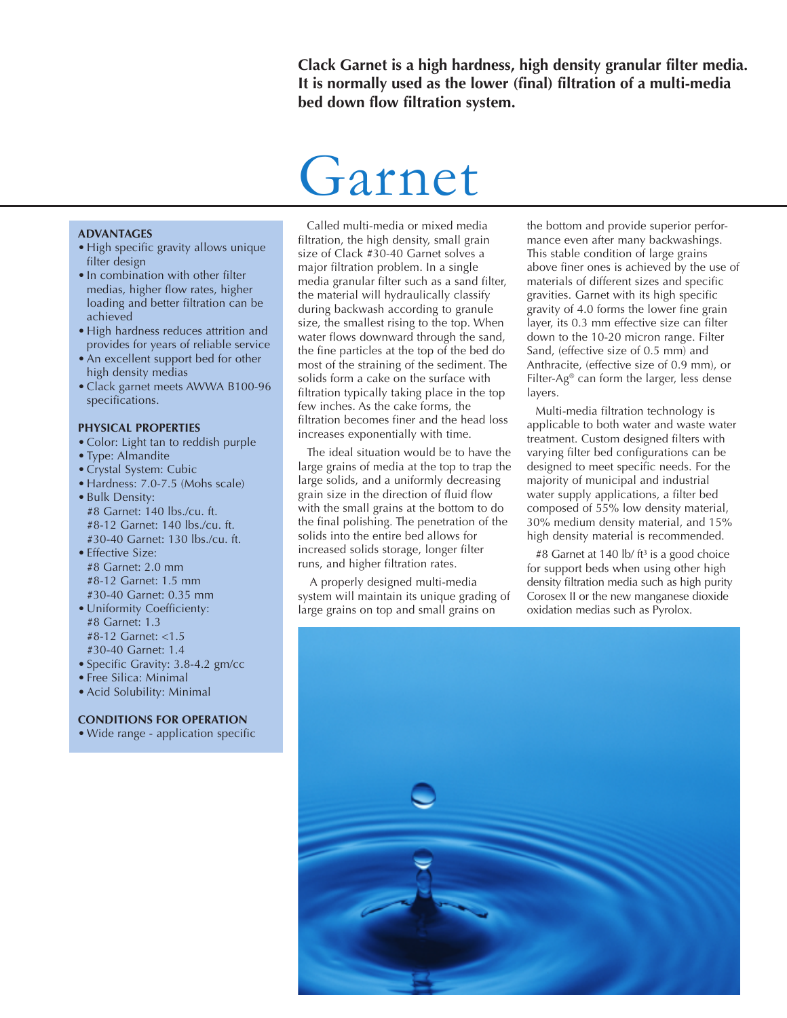**Clack Garnet is a high hardness, high density granular filter media. It is normally used as the lower (final) filtration of a multi-media bed down flow filtration system.**

# Garnet

#### **ADVANTAGES**

- High specific gravity allows unique filter design
- In combination with other filter medias, higher flow rates, higher loading and better filtration can be achieved
- High hardness reduces attrition and provides for years of reliable service
- An excellent support bed for other high density medias
- Clack garnet meets AWWA B100-96 specifications.

#### **PHYSICAL PROPERTIES**

- Color: Light tan to reddish purple
- Type: Almandite
- Crystal System: Cubic
- Hardness: 7.0-7.5 (Mohs scale)
- Bulk Density: #8 Garnet: 140 lbs./cu. ft. #8-12 Garnet: 140 lbs./cu. ft. #30-40 Garnet: 130 lbs./cu. ft.
- Effective Size: #8 Garnet: 2.0 mm #8-12 Garnet: 1.5 mm #30-40 Garnet: 0.35 mm
- Uniformity Coefficienty: #8 Garnet: 1.3 #8-12 Garnet: <1.5 #30-40 Garnet: 1.4
- Specific Gravity: 3.8-4.2 gm/cc
- Free Silica: Minimal
- Acid Solubility: Minimal

## **CONDITIONS FOR OPERATION**

• Wide range - application specific

Called multi-media or mixed media filtration, the high density, small grain size of Clack #30-40 Garnet solves a major filtration problem. In a single media granular filter such as a sand filter, the material will hydraulically classify during backwash according to granule size, the smallest rising to the top. When water flows downward through the sand, the fine particles at the top of the bed do most of the straining of the sediment. The solids form a cake on the surface with filtration typically taking place in the top few inches. As the cake forms, the filtration becomes finer and the head loss increases exponentially with time.

The ideal situation would be to have the large grains of media at the top to trap the large solids, and a uniformly decreasing grain size in the direction of fluid flow with the small grains at the bottom to do the final polishing. The penetration of the solids into the entire bed allows for increased solids storage, longer filter runs, and higher filtration rates.

 A properly designed multi-media system will maintain its unique grading of large grains on top and small grains on

the bottom and provide superior performance even after many backwashings. This stable condition of large grains above finer ones is achieved by the use of materials of different sizes and specific gravities. Garnet with its high specific gravity of 4.0 forms the lower fine grain layer, its 0.3 mm effective size can filter down to the 10-20 micron range. Filter Sand, (effective size of 0.5 mm) and Anthracite, (effective size of 0.9 mm), or Filter-Ag® can form the larger, less dense layers.

Multi-media filtration technology is applicable to both water and waste water treatment. Custom designed filters with varying filter bed configurations can be designed to meet specific needs. For the majority of municipal and industrial water supply applications, a filter bed composed of 55% low density material, 30% medium density material, and 15% high density material is recommended.

#8 Garnet at 140 lb/ ft<sup>3</sup> is a good choice for support beds when using other high density filtration media such as high purity Corosex II or the new manganese dioxide oxidation medias such as Pyrolox.